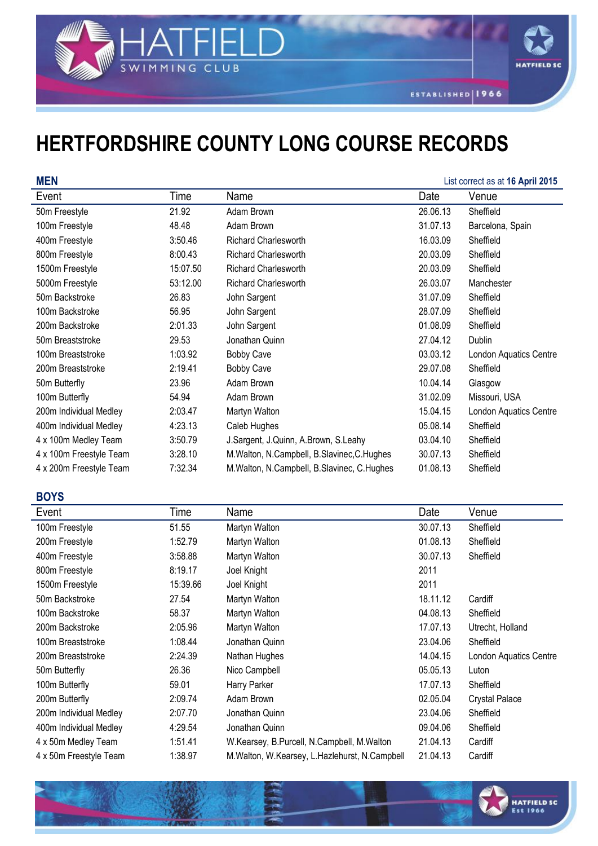

## **HERTFORDSHIRE COUNTY LONG COURSE RECORDS**

SWIMMING CLUB

| <b>MEN</b>              |          |                                                |          | List correct as at 16 April 2015 |
|-------------------------|----------|------------------------------------------------|----------|----------------------------------|
| Event                   | Time     | Name                                           | Date     | Venue                            |
| 50m Freestyle           | 21.92    | Adam Brown                                     | 26.06.13 | Sheffield                        |
| 100m Freestyle          | 48.48    | Adam Brown                                     | 31.07.13 | Barcelona, Spain                 |
| 400m Freestyle          | 3:50.46  | <b>Richard Charlesworth</b>                    | 16.03.09 | Sheffield                        |
| 800m Freestyle          | 8:00.43  | <b>Richard Charlesworth</b>                    | 20.03.09 | Sheffield                        |
| 1500m Freestyle         | 15:07.50 | <b>Richard Charlesworth</b>                    | 20.03.09 | Sheffield                        |
| 5000m Freestyle         | 53:12.00 | Richard Charlesworth                           | 26.03.07 | Manchester                       |
| 50m Backstroke          | 26.83    | John Sargent                                   | 31.07.09 | Sheffield                        |
| 100m Backstroke         | 56.95    | John Sargent                                   | 28.07.09 | Sheffield                        |
| 200m Backstroke         | 2:01.33  | John Sargent                                   | 01.08.09 | Sheffield                        |
| 50m Breaststroke        | 29.53    | Jonathan Quinn                                 | 27.04.12 | Dublin                           |
| 100m Breaststroke       | 1:03.92  | <b>Bobby Cave</b>                              | 03.03.12 | London Aquatics Centre           |
| 200m Breaststroke       | 2:19.41  | <b>Bobby Cave</b>                              | 29.07.08 | Sheffield                        |
| 50m Butterfly           | 23.96    | Adam Brown                                     | 10.04.14 | Glasgow                          |
| 100m Butterfly          | 54.94    | Adam Brown                                     | 31.02.09 | Missouri, USA                    |
| 200m Individual Medley  | 2:03.47  | Martyn Walton                                  | 15.04.15 | London Aquatics Centre           |
| 400m Individual Medley  | 4:23.13  | Caleb Hughes                                   | 05.08.14 | Sheffield                        |
| 4 x 100m Medley Team    | 3:50.79  | J.Sargent, J.Quinn, A.Brown, S.Leahy           | 03.04.10 | Sheffield                        |
| 4 x 100m Freestyle Team | 3:28.10  | M.Walton, N.Campbell, B.Slavinec, C.Hughes     | 30.07.13 | Sheffield                        |
| 4 x 200m Freestyle Team | 7:32.34  | M. Walton, N. Campbell, B. Slavinec, C. Hughes | 01.08.13 | Sheffield                        |

## **BOYS**

| Event                  | Time     | Name                                              | Date     | Venue                         |
|------------------------|----------|---------------------------------------------------|----------|-------------------------------|
| 100m Freestyle         | 51.55    | Martyn Walton                                     | 30.07.13 | Sheffield                     |
| 200m Freestyle         | 1:52.79  | Martyn Walton                                     | 01.08.13 | Sheffield                     |
| 400m Freestyle         | 3:58.88  | Martyn Walton                                     | 30.07.13 | Sheffield                     |
| 800m Freestyle         | 8:19.17  | Joel Knight                                       | 2011     |                               |
| 1500m Freestyle        | 15:39.66 | Joel Knight                                       | 2011     |                               |
| 50m Backstroke         | 27.54    | Martyn Walton                                     | 18.11.12 | Cardiff                       |
| 100m Backstroke        | 58.37    | Martyn Walton                                     | 04.08.13 | Sheffield                     |
| 200m Backstroke        | 2:05.96  | Martyn Walton                                     | 17.07.13 | Utrecht, Holland              |
| 100m Breaststroke      | 1:08.44  | Jonathan Quinn                                    | 23.04.06 | Sheffield                     |
| 200m Breaststroke      | 2:24.39  | Nathan Hughes                                     | 14.04.15 | <b>London Aquatics Centre</b> |
| 50m Butterfly          | 26.36    | Nico Campbell                                     | 05.05.13 | Luton                         |
| 100m Butterfly         | 59.01    | Harry Parker                                      | 17.07.13 | Sheffield                     |
| 200m Butterfly         | 2:09.74  | Adam Brown                                        | 02.05.04 | <b>Crystal Palace</b>         |
| 200m Individual Medley | 2:07.70  | Jonathan Quinn                                    | 23.04.06 | Sheffield                     |
| 400m Individual Medley | 4:29.54  | Jonathan Quinn                                    | 09.04.06 | Sheffield                     |
| 4 x 50m Medley Team    | 1:51.41  | W.Kearsey, B.Purcell, N.Campbell, M.Walton        | 21.04.13 | Cardiff                       |
| 4 x 50m Freestyle Team | 1:38.97  | M. Walton, W. Kearsey, L. Hazlehurst, N. Campbell | 21.04.13 | Cardiff                       |